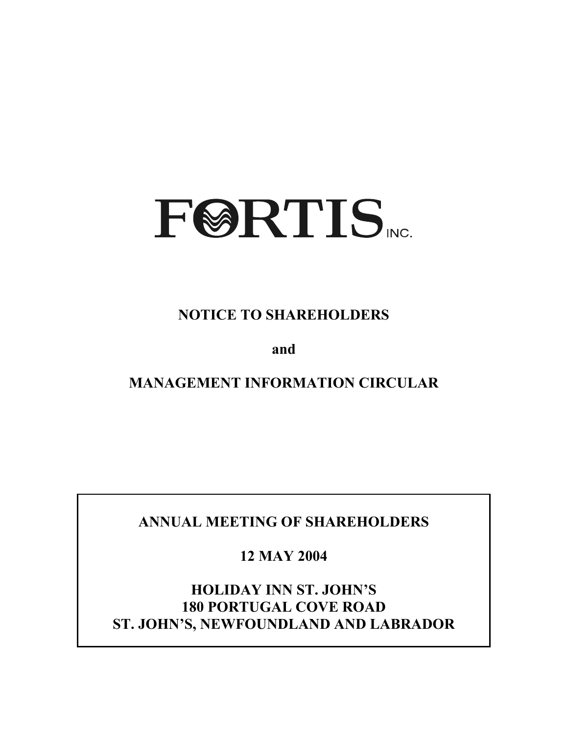

**NOTICE TO SHAREHOLDERS** 

**and** 

**MANAGEMENT INFORMATION CIRCULAR** 

**ANNUAL MEETING OF SHAREHOLDERS** 

**12 MAY 2004** 

**HOLIDAY INN ST. JOHN'S 180 PORTUGAL COVE ROAD ST. JOHN'S, NEWFOUNDLAND AND LABRADOR**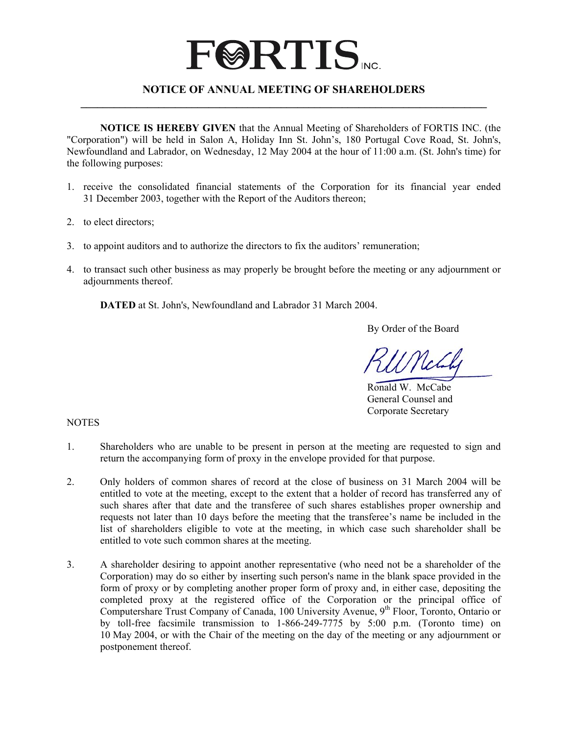# **FØRTIS**

# **NOTICE OF ANNUAL MEETING OF SHAREHOLDERS \_\_\_\_\_\_\_\_\_\_\_\_\_\_\_\_\_\_\_\_\_\_\_\_\_\_\_\_\_\_\_\_\_\_\_\_\_\_\_\_\_\_\_\_\_\_\_\_\_\_\_\_\_\_\_\_\_\_\_\_\_\_\_\_\_\_\_\_\_\_\_\_\_**

**NOTICE IS HEREBY GIVEN** that the Annual Meeting of Shareholders of FORTIS INC. (the "Corporation") will be held in Salon A, Holiday Inn St. John's, 180 Portugal Cove Road, St. John's, Newfoundland and Labrador, on Wednesday, 12 May 2004 at the hour of 11:00 a.m. (St. John's time) for the following purposes:

- 1. receive the consolidated financial statements of the Corporation for its financial year ended 31 December 2003, together with the Report of the Auditors thereon;
- 2. to elect directors;
- 3. to appoint auditors and to authorize the directors to fix the auditors' remuneration;
- 4. to transact such other business as may properly be brought before the meeting or any adjournment or adjournments thereof.

**DATED** at St. John's, Newfoundland and Labrador 31 March 2004.

By Order of the Board

 Ronald W. McCabe General Counsel and Corporate Secretary

#### NOTES

- 1. Shareholders who are unable to be present in person at the meeting are requested to sign and return the accompanying form of proxy in the envelope provided for that purpose.
- 2. Only holders of common shares of record at the close of business on 31 March 2004 will be entitled to vote at the meeting, except to the extent that a holder of record has transferred any of such shares after that date and the transferee of such shares establishes proper ownership and requests not later than 10 days before the meeting that the transferee's name be included in the list of shareholders eligible to vote at the meeting, in which case such shareholder shall be entitled to vote such common shares at the meeting.
- 3. A shareholder desiring to appoint another representative (who need not be a shareholder of the Corporation) may do so either by inserting such person's name in the blank space provided in the form of proxy or by completing another proper form of proxy and, in either case, depositing the completed proxy at the registered office of the Corporation or the principal office of Computershare Trust Company of Canada, 100 University Avenue, 9<sup>th</sup> Floor, Toronto, Ontario or by toll-free facsimile transmission to 1-866-249-7775 by 5:00 p.m. (Toronto time) on 10 May 2004, or with the Chair of the meeting on the day of the meeting or any adjournment or postponement thereof.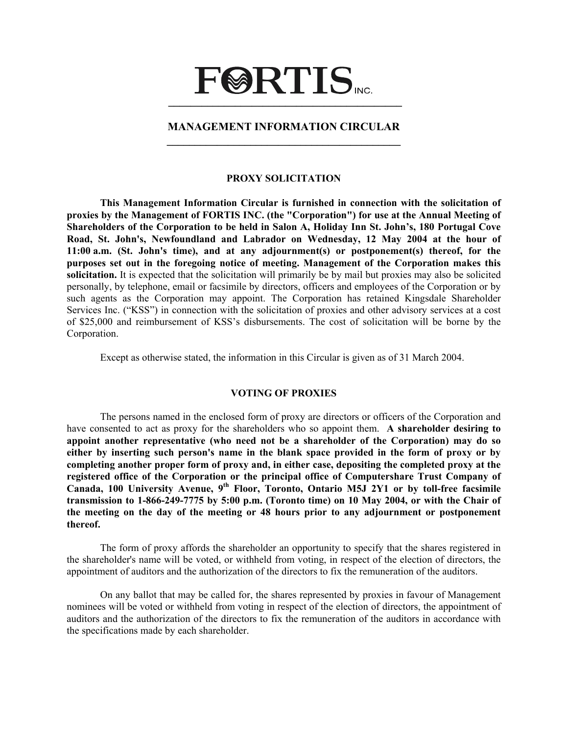# **FØRTIS \_\_\_\_\_\_\_\_\_\_\_\_\_\_\_\_\_\_\_\_\_\_\_\_\_\_\_\_\_\_\_\_\_\_\_\_\_\_\_\_\_\_**

# **MANAGEMENT INFORMATION CIRCULAR \_\_\_\_\_\_\_\_\_\_\_\_\_\_\_\_\_\_\_\_\_\_\_\_\_\_\_\_\_\_\_\_\_\_\_\_\_\_\_\_\_\_**

#### **PROXY SOLICITATION**

**This Management Information Circular is furnished in connection with the solicitation of proxies by the Management of FORTIS INC. (the "Corporation") for use at the Annual Meeting of Shareholders of the Corporation to be held in Salon A, Holiday Inn St. John's, 180 Portugal Cove Road, St. John's, Newfoundland and Labrador on Wednesday, 12 May 2004 at the hour of 11:00 a.m. (St. John's time), and at any adjournment(s) or postponement(s) thereof, for the purposes set out in the foregoing notice of meeting. Management of the Corporation makes this solicitation.** It is expected that the solicitation will primarily be by mail but proxies may also be solicited personally, by telephone, email or facsimile by directors, officers and employees of the Corporation or by such agents as the Corporation may appoint. The Corporation has retained Kingsdale Shareholder Services Inc. ("KSS") in connection with the solicitation of proxies and other advisory services at a cost of \$25,000 and reimbursement of KSS's disbursements. The cost of solicitation will be borne by the Corporation.

Except as otherwise stated, the information in this Circular is given as of 31 March 2004.

#### **VOTING OF PROXIES**

 The persons named in the enclosed form of proxy are directors or officers of the Corporation and have consented to act as proxy for the shareholders who so appoint them. **A shareholder desiring to appoint another representative (who need not be a shareholder of the Corporation) may do so either by inserting such person's name in the blank space provided in the form of proxy or by completing another proper form of proxy and, in either case, depositing the completed proxy at the registered office of the Corporation or the principal office of Computershare Trust Company of Canada, 100 University Avenue, 9th Floor, Toronto, Ontario M5J 2Y1 or by toll-free facsimile transmission to 1-866-249-7775 by 5:00 p.m. (Toronto time) on 10 May 2004, or with the Chair of the meeting on the day of the meeting or 48 hours prior to any adjournment or postponement thereof.** 

 The form of proxy affords the shareholder an opportunity to specify that the shares registered in the shareholder's name will be voted, or withheld from voting, in respect of the election of directors, the appointment of auditors and the authorization of the directors to fix the remuneration of the auditors.

 On any ballot that may be called for, the shares represented by proxies in favour of Management nominees will be voted or withheld from voting in respect of the election of directors, the appointment of auditors and the authorization of the directors to fix the remuneration of the auditors in accordance with the specifications made by each shareholder.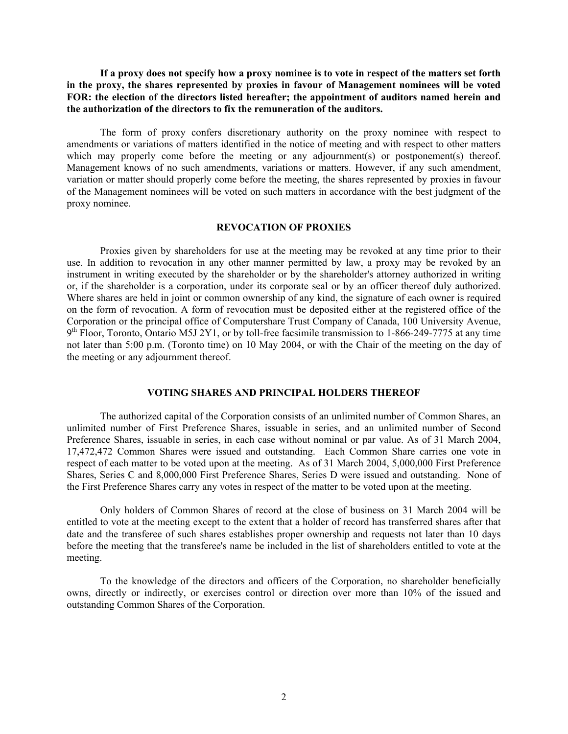**If a proxy does not specify how a proxy nominee is to vote in respect of the matters set forth in the proxy, the shares represented by proxies in favour of Management nominees will be voted FOR: the election of the directors listed hereafter; the appointment of auditors named herein and the authorization of the directors to fix the remuneration of the auditors.** 

 The form of proxy confers discretionary authority on the proxy nominee with respect to amendments or variations of matters identified in the notice of meeting and with respect to other matters which may properly come before the meeting or any adjournment(s) or postponement(s) thereof. Management knows of no such amendments, variations or matters. However, if any such amendment, variation or matter should properly come before the meeting, the shares represented by proxies in favour of the Management nominees will be voted on such matters in accordance with the best judgment of the proxy nominee.

#### **REVOCATION OF PROXIES**

 Proxies given by shareholders for use at the meeting may be revoked at any time prior to their use. In addition to revocation in any other manner permitted by law, a proxy may be revoked by an instrument in writing executed by the shareholder or by the shareholder's attorney authorized in writing or, if the shareholder is a corporation, under its corporate seal or by an officer thereof duly authorized. Where shares are held in joint or common ownership of any kind, the signature of each owner is required on the form of revocation. A form of revocation must be deposited either at the registered office of the Corporation or the principal office of Computershare Trust Company of Canada, 100 University Avenue,  $9<sup>th</sup>$  Floor, Toronto, Ontario M5J 2Y1, or by toll-free facsimile transmission to 1-866-249-7775 at any time not later than 5:00 p.m. (Toronto time) on 10 May 2004, or with the Chair of the meeting on the day of the meeting or any adjournment thereof.

#### **VOTING SHARES AND PRINCIPAL HOLDERS THEREOF**

 The authorized capital of the Corporation consists of an unlimited number of Common Shares, an unlimited number of First Preference Shares, issuable in series, and an unlimited number of Second Preference Shares, issuable in series, in each case without nominal or par value. As of 31 March 2004, 17,472,472 Common Shares were issued and outstanding. Each Common Share carries one vote in respect of each matter to be voted upon at the meeting. As of 31 March 2004, 5,000,000 First Preference Shares, Series C and 8,000,000 First Preference Shares, Series D were issued and outstanding. None of the First Preference Shares carry any votes in respect of the matter to be voted upon at the meeting.

 Only holders of Common Shares of record at the close of business on 31 March 2004 will be entitled to vote at the meeting except to the extent that a holder of record has transferred shares after that date and the transferee of such shares establishes proper ownership and requests not later than 10 days before the meeting that the transferee's name be included in the list of shareholders entitled to vote at the meeting.

To the knowledge of the directors and officers of the Corporation, no shareholder beneficially owns, directly or indirectly, or exercises control or direction over more than 10% of the issued and outstanding Common Shares of the Corporation.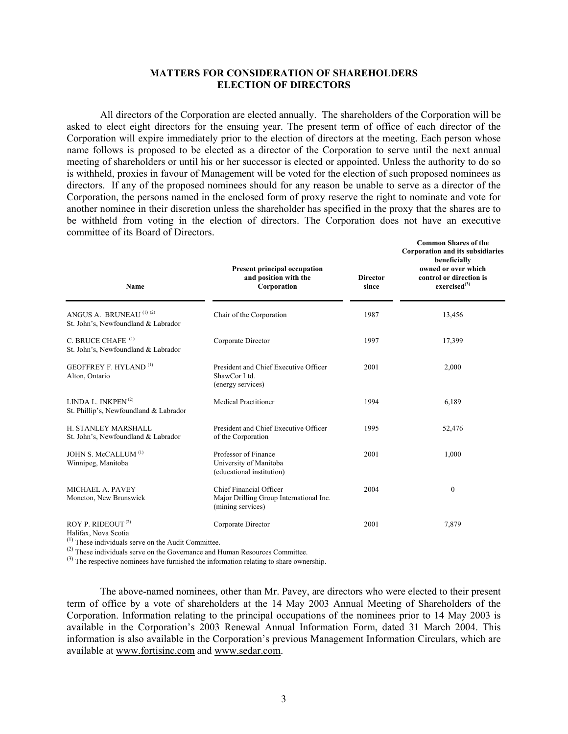#### **MATTERS FOR CONSIDERATION OF SHAREHOLDERS ELECTION OF DIRECTORS**

 All directors of the Corporation are elected annually. The shareholders of the Corporation will be asked to elect eight directors for the ensuing year. The present term of office of each director of the Corporation will expire immediately prior to the election of directors at the meeting. Each person whose name follows is proposed to be elected as a director of the Corporation to serve until the next annual meeting of shareholders or until his or her successor is elected or appointed. Unless the authority to do so is withheld, proxies in favour of Management will be voted for the election of such proposed nominees as directors. If any of the proposed nominees should for any reason be unable to serve as a director of the Corporation, the persons named in the enclosed form of proxy reserve the right to nominate and vote for another nominee in their discretion unless the shareholder has specified in the proxy that the shares are to be withheld from voting in the election of directors. The Corporation does not have an executive committee of its Board of Directors.

**Common Shares of the** 

| Name                                                                          | <b>Present principal occupation</b><br>and position with the<br>Corporation             | <b>Director</b><br>since | COMMON SHALES OF THE<br><b>Corporation and its subsidiaries</b><br>beneficially<br>owned or over which<br>control or direction is<br>exercised <sup>(3)</sup> |  |
|-------------------------------------------------------------------------------|-----------------------------------------------------------------------------------------|--------------------------|---------------------------------------------------------------------------------------------------------------------------------------------------------------|--|
| ANGUS A. BRUNEAU <sup>(1)(2)</sup><br>St. John's, Newfoundland & Labrador     | Chair of the Corporation                                                                | 1987                     | 13,456                                                                                                                                                        |  |
| C. BRUCE CHAFE <sup>(1)</sup><br>St. John's, Newfoundland & Labrador          | Corporate Director                                                                      | 1997                     | 17,399                                                                                                                                                        |  |
| <b>GEOFFREY F. HYLAND</b> <sup>(1)</sup><br>Alton, Ontario                    | President and Chief Executive Officer<br>ShawCor Ltd.<br>(energy services)              | 2001                     | 2,000                                                                                                                                                         |  |
| LINDA L. INKPEN $(2)$<br>St. Phillip's, Newfoundland & Labrador               | <b>Medical Practitioner</b>                                                             | 1994                     | 6,189                                                                                                                                                         |  |
| H. STANLEY MARSHALL<br>St. John's, Newfoundland & Labrador                    | President and Chief Executive Officer<br>of the Corporation                             | 1995                     | 52,476                                                                                                                                                        |  |
| JOHN S. McCALLUM <sup>(1)</sup><br>Winnipeg, Manitoba                         | Professor of Finance<br>University of Manitoba<br>(educational institution)             | 2001                     | 1,000                                                                                                                                                         |  |
| MICHAEL A. PAVEY<br>Moncton, New Brunswick                                    | Chief Financial Officer<br>Major Drilling Group International Inc.<br>(mining services) | 2004                     | $\mathbf{0}$                                                                                                                                                  |  |
| ROY P. RIDEOUT <sup>(2)</sup><br>Halifax, Nova Scotia<br>$\sim$ $\sim$ $\sim$ | Corporate Director                                                                      | 2001                     | 7,879                                                                                                                                                         |  |

(1) These individuals serve on the Audit Committee.

(2) These individuals serve on the Governance and Human Resources Committee.

(3) The respective nominees have furnished the information relating to share ownership.

 The above-named nominees, other than Mr. Pavey, are directors who were elected to their present term of office by a vote of shareholders at the 14 May 2003 Annual Meeting of Shareholders of the Corporation. Information relating to the principal occupations of the nominees prior to 14 May 2003 is available in the Corporation's 2003 Renewal Annual Information Form, dated 31 March 2004. This information is also available in the Corporation's previous Management Information Circulars, which are available at www.fortisinc.com and www.sedar.com.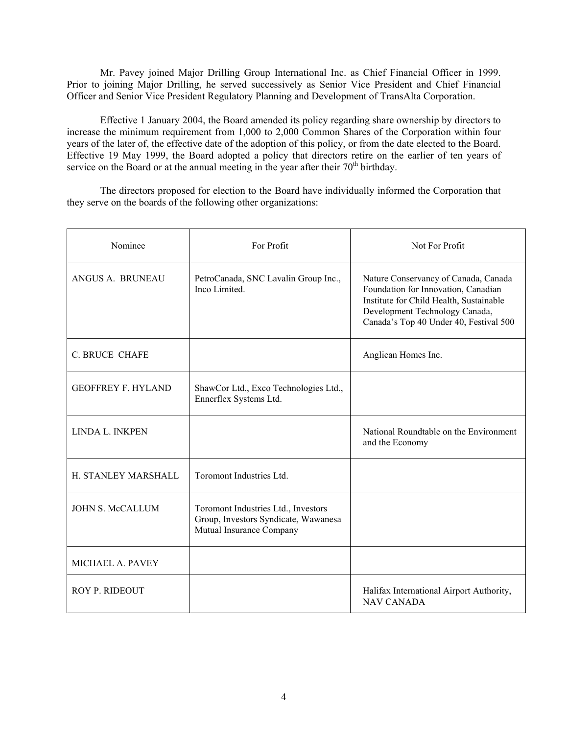Mr. Pavey joined Major Drilling Group International Inc. as Chief Financial Officer in 1999. Prior to joining Major Drilling, he served successively as Senior Vice President and Chief Financial Officer and Senior Vice President Regulatory Planning and Development of TransAlta Corporation.

 Effective 1 January 2004, the Board amended its policy regarding share ownership by directors to increase the minimum requirement from 1,000 to 2,000 Common Shares of the Corporation within four years of the later of, the effective date of the adoption of this policy, or from the date elected to the Board. Effective 19 May 1999, the Board adopted a policy that directors retire on the earlier of ten years of service on the Board or at the annual meeting in the year after their  $70<sup>th</sup>$  birthday.

 The directors proposed for election to the Board have individually informed the Corporation that they serve on the boards of the following other organizations:

| Nominee                    | For Profit                                                                                              | Not For Profit                                                                                                                                                                                     |
|----------------------------|---------------------------------------------------------------------------------------------------------|----------------------------------------------------------------------------------------------------------------------------------------------------------------------------------------------------|
| ANGUS A. BRUNEAU           | PetroCanada, SNC Lavalin Group Inc.,<br>Inco Limited.                                                   | Nature Conservancy of Canada, Canada<br>Foundation for Innovation, Canadian<br>Institute for Child Health, Sustainable<br>Development Technology Canada,<br>Canada's Top 40 Under 40, Festival 500 |
| <b>C. BRUCE CHAFE</b>      |                                                                                                         | Anglican Homes Inc.                                                                                                                                                                                |
| <b>GEOFFREY F. HYLAND</b>  | ShawCor Ltd., Exco Technologies Ltd.,<br>Ennerflex Systems Ltd.                                         |                                                                                                                                                                                                    |
| <b>LINDA L. INKPEN</b>     |                                                                                                         | National Roundtable on the Environment<br>and the Economy                                                                                                                                          |
| <b>H. STANLEY MARSHALL</b> | Toromont Industries Ltd.                                                                                |                                                                                                                                                                                                    |
| <b>JOHN S. McCALLUM</b>    | Toromont Industries Ltd., Investors<br>Group, Investors Syndicate, Wawanesa<br>Mutual Insurance Company |                                                                                                                                                                                                    |
| MICHAEL A. PAVEY           |                                                                                                         |                                                                                                                                                                                                    |
| ROY P. RIDEOUT             |                                                                                                         | Halifax International Airport Authority,<br><b>NAV CANADA</b>                                                                                                                                      |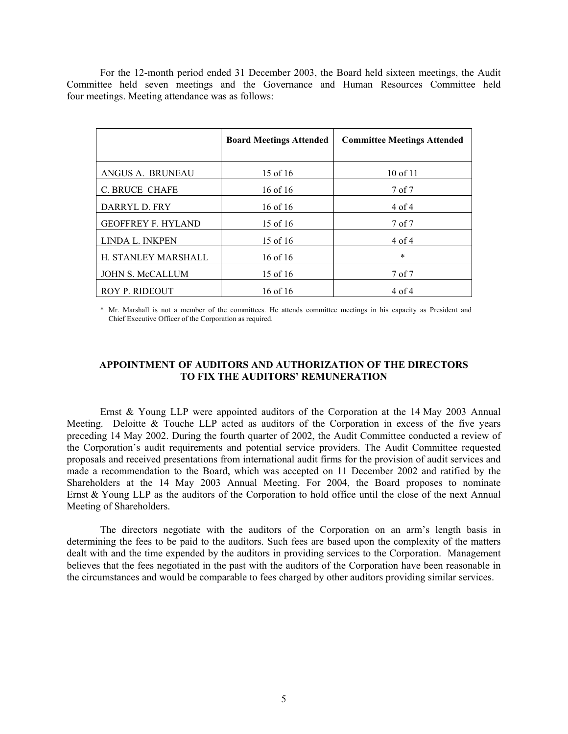For the 12-month period ended 31 December 2003, the Board held sixteen meetings, the Audit Committee held seven meetings and the Governance and Human Resources Committee held four meetings. Meeting attendance was as follows:

|                           | <b>Board Meetings Attended</b> | <b>Committee Meetings Attended</b> |
|---------------------------|--------------------------------|------------------------------------|
| ANGUS A. BRUNEAU          | 15 of 16                       | 10 of 11                           |
| <b>C. BRUCE CHAFE</b>     | 16 of 16                       | 7 of 7                             |
| DARRYL D. FRY             | $16$ of $16$                   | $4$ of $4$                         |
| <b>GEOFFREY F. HYLAND</b> | 15 of 16                       | 7 of 7                             |
| LINDA L. INKPEN           | 15 of 16                       | $4$ of $4$                         |
| H. STANLEY MARSHALL       | $16$ of $16$                   | $\ast$                             |
| <b>JOHN S. McCALLUM</b>   | 15 of 16                       | 7 of 7                             |
| <b>ROY P. RIDEOUT</b>     | 16 of 16                       | $4$ of $4$                         |

\* Mr. Marshall is not a member of the committees. He attends committee meetings in his capacity as President and Chief Executive Officer of the Corporation as required.

#### **APPOINTMENT OF AUDITORS AND AUTHORIZATION OF THE DIRECTORS TO FIX THE AUDITORS' REMUNERATION**

 Ernst & Young LLP were appointed auditors of the Corporation at the 14 May 2003 Annual Meeting. Deloitte  $\&$  Touche LLP acted as auditors of the Corporation in excess of the five years preceding 14 May 2002. During the fourth quarter of 2002, the Audit Committee conducted a review of the Corporation's audit requirements and potential service providers. The Audit Committee requested proposals and received presentations from international audit firms for the provision of audit services and made a recommendation to the Board, which was accepted on 11 December 2002 and ratified by the Shareholders at the 14 May 2003 Annual Meeting. For 2004, the Board proposes to nominate Ernst & Young LLP as the auditors of the Corporation to hold office until the close of the next Annual Meeting of Shareholders.

 The directors negotiate with the auditors of the Corporation on an arm's length basis in determining the fees to be paid to the auditors. Such fees are based upon the complexity of the matters dealt with and the time expended by the auditors in providing services to the Corporation. Management believes that the fees negotiated in the past with the auditors of the Corporation have been reasonable in the circumstances and would be comparable to fees charged by other auditors providing similar services.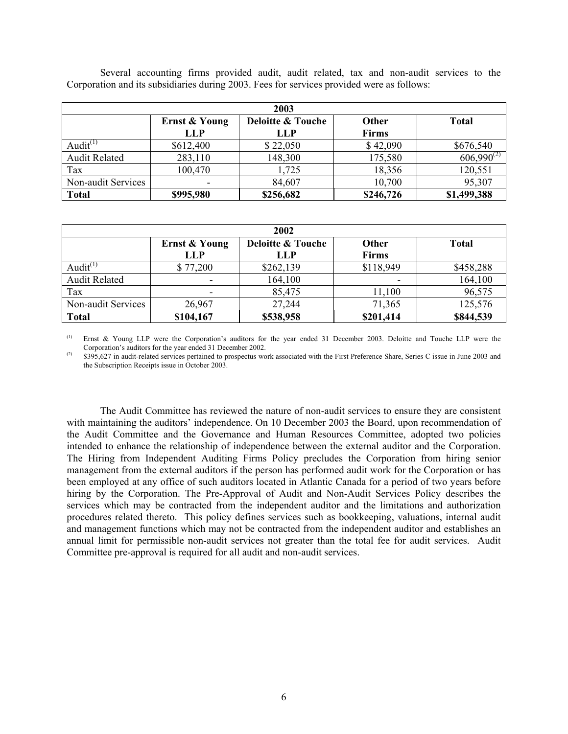| 2003                 |               |              |              |                 |  |  |
|----------------------|---------------|--------------|--------------|-----------------|--|--|
|                      | Ernst & Young | <b>Total</b> |              |                 |  |  |
|                      | <b>LLP</b>    | LLP          | <b>Firms</b> |                 |  |  |
| Audit $(1)$          | \$612,400     | \$22,050     | \$42,090     | \$676,540       |  |  |
| <b>Audit Related</b> | 283,110       | 148,300      | 175,580      | $606,990^{(2)}$ |  |  |
| Tax                  | 100,470       | 1.725        | 18,356       | 120,551         |  |  |
| Non-audit Services   |               | 84,607       | 10,700       | 95,307          |  |  |
| <b>Total</b>         | \$995,980     | \$256,682    | \$246,726    | \$1,499,388     |  |  |

 Several accounting firms provided audit, audit related, tax and non-audit services to the Corporation and its subsidiaries during 2003. Fees for services provided were as follows:

| 2002                 |                             |                                            |                              |              |  |  |
|----------------------|-----------------------------|--------------------------------------------|------------------------------|--------------|--|--|
|                      | Ernst & Young<br><b>LLP</b> | <b>Deloitte &amp; Touche</b><br><b>LLP</b> | <b>Other</b><br><b>Firms</b> | <b>Total</b> |  |  |
| Audit $(1)$          | \$77,200                    | \$262,139                                  | \$118,949                    | \$458,288    |  |  |
| <b>Audit Related</b> | -                           | 164,100                                    |                              | 164,100      |  |  |
| Tax                  |                             | 85,475                                     | 11,100                       | 96,575       |  |  |
| Non-audit Services   | 26,967                      | 27,244                                     | 71,365                       | 125,576      |  |  |
| <b>Total</b>         | \$104,167                   | \$538,958                                  | \$201,414                    | \$844,539    |  |  |

Ernst & Young LLP were the Corporation's auditors for the year ended 31 December 2003. Deloitte and Touche LLP were the Corporation's auditors for the year ended 31 December 2002.

 $(2)$  \$395,627 in audit-related services pertained to prospectus work associated with the First Preference Share, Series C issue in June 2003 and the Subscription Receipts issue in October 2003.

 The Audit Committee has reviewed the nature of non-audit services to ensure they are consistent with maintaining the auditors' independence. On 10 December 2003 the Board, upon recommendation of the Audit Committee and the Governance and Human Resources Committee, adopted two policies intended to enhance the relationship of independence between the external auditor and the Corporation. The Hiring from Independent Auditing Firms Policy precludes the Corporation from hiring senior management from the external auditors if the person has performed audit work for the Corporation or has been employed at any office of such auditors located in Atlantic Canada for a period of two years before hiring by the Corporation. The Pre-Approval of Audit and Non-Audit Services Policy describes the services which may be contracted from the independent auditor and the limitations and authorization procedures related thereto. This policy defines services such as bookkeeping, valuations, internal audit and management functions which may not be contracted from the independent auditor and establishes an annual limit for permissible non-audit services not greater than the total fee for audit services. Audit Committee pre-approval is required for all audit and non-audit services.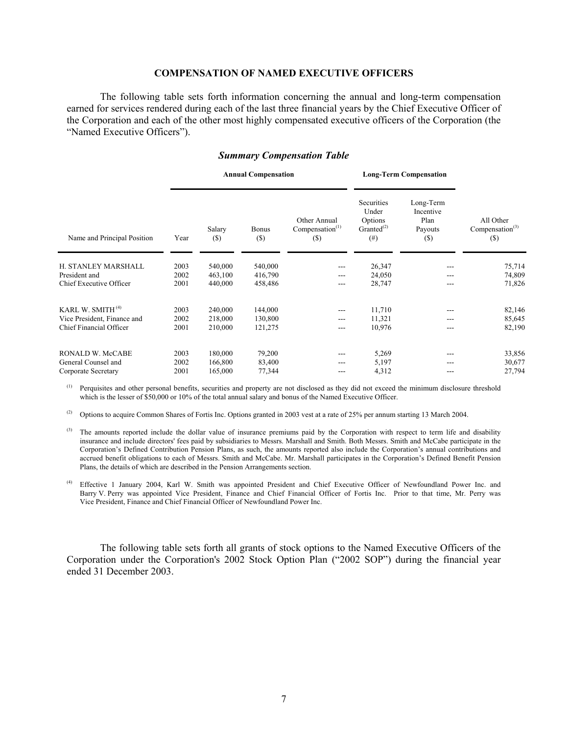#### **COMPENSATION OF NAMED EXECUTIVE OFFICERS**

 The following table sets forth information concerning the annual and long-term compensation earned for services rendered during each of the last three financial years by the Chief Executive Officer of the Corporation and each of the other most highly compensated executive officers of the Corporation (the "Named Executive Officers").

#### *Summary Compensation Table*

|                              |      | <b>Annual Compensation</b> |                        |                                                    | <b>Long-Term Compensation</b>                                  |                                                     |                                                    |
|------------------------------|------|----------------------------|------------------------|----------------------------------------------------|----------------------------------------------------------------|-----------------------------------------------------|----------------------------------------------------|
| Name and Principal Position  | Year | Salary<br>(S)              | <b>Bonus</b><br>$(\$)$ | Other Annual<br>Compensation <sup>(1)</sup><br>(S) | Securities<br>Under<br>Options<br>Granted $^{(2)}$<br>$^{(#)}$ | Long-Term<br>Incentive<br>Plan<br>Payouts<br>$($ \$ | All Other<br>Compensation <sup>(3)</sup><br>$(\$)$ |
| H. STANLEY MARSHALL          | 2003 | 540,000                    | 540,000                | $---$                                              | 26,347                                                         |                                                     | 75,714                                             |
| President and                | 2002 | 463,100                    | 416,790                | ---                                                | 24,050                                                         |                                                     | 74,809                                             |
| Chief Executive Officer      | 2001 | 440,000                    | 458,486                | $---$                                              | 28,747                                                         | ---                                                 | 71,826                                             |
| KARL W. SMITH <sup>(4)</sup> | 2003 | 240,000                    | 144,000                | $---$                                              | 11,710                                                         |                                                     | 82,146                                             |
| Vice President, Finance and  | 2002 | 218,000                    | 130,800                | $---$                                              | 11,321                                                         | ---                                                 | 85,645                                             |
| Chief Financial Officer      | 2001 | 210,000                    | 121,275                | ---                                                | 10,976                                                         |                                                     | 82,190                                             |
| RONALD W. McCABE             | 2003 | 180,000                    | 79,200                 | $---$                                              | 5,269                                                          | ---                                                 | 33,856                                             |
| General Counsel and          | 2002 | 166,800                    | 83,400                 | ---                                                | 5,197                                                          | ---                                                 | 30,677                                             |
| Corporate Secretary          | 2001 | 165,000                    | 77,344                 | ---                                                | 4,312                                                          |                                                     | 27,794                                             |

<sup>(1)</sup> Perquisites and other personal benefits, securities and property are not disclosed as they did not exceed the minimum disclosure threshold which is the lesser of \$50,000 or 10% of the total annual salary and bonus of the Named Executive Officer.

(2) Options to acquire Common Shares of Fortis Inc. Options granted in 2003 vest at a rate of 25% per annum starting 13 March 2004.

<sup>(3)</sup> The amounts reported include the dollar value of insurance premiums paid by the Corporation with respect to term life and disability insurance and include directors' fees paid by subsidiaries to Messrs. Marshall and Smith. Both Messrs. Smith and McCabe participate in the Corporation's Defined Contribution Pension Plans, as such, the amounts reported also include the Corporation's annual contributions and accrued benefit obligations to each of Messrs. Smith and McCabe. Mr. Marshall participates in the Corporation's Defined Benefit Pension Plans, the details of which are described in the Pension Arrangements section.

(4) Effective 1 January 2004, Karl W. Smith was appointed President and Chief Executive Officer of Newfoundland Power Inc. and Barry V. Perry was appointed Vice President, Finance and Chief Financial Officer of Fortis Inc. Prior to that time, Mr. Perry was Vice President, Finance and Chief Financial Officer of Newfoundland Power Inc.

 The following table sets forth all grants of stock options to the Named Executive Officers of the Corporation under the Corporation's 2002 Stock Option Plan ("2002 SOP") during the financial year ended 31 December 2003.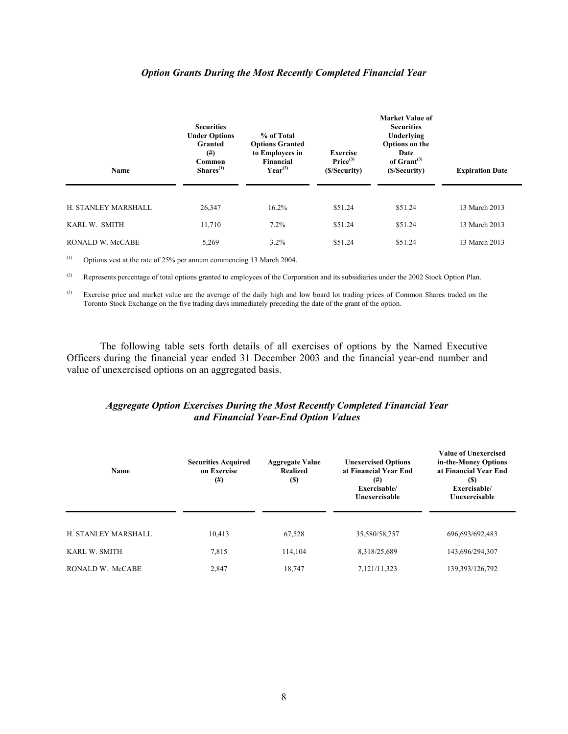#### *Option Grants During the Most Recently Completed Financial Year*

| Name                | <b>Securities</b><br><b>Under Options</b><br>Granted<br>$^{(#)}$<br>Common<br>Shares <sup>(1)</sup> | % of Total<br><b>Options Granted</b><br>to Employees in<br>Financial<br>$Year^{(2)}$ | <b>Exercise</b><br>Price <sup>(3)</sup><br>(\$/Security) | Market Value of<br><b>Securities</b><br>Underlying<br>Options on the<br>Date<br>of $Gran(3)$<br>(\$/Security) | <b>Expiration Date</b> |
|---------------------|-----------------------------------------------------------------------------------------------------|--------------------------------------------------------------------------------------|----------------------------------------------------------|---------------------------------------------------------------------------------------------------------------|------------------------|
| H. STANLEY MARSHALL | 26,347                                                                                              | 16.2%                                                                                | \$51.24                                                  | \$51.24                                                                                                       | 13 March 2013          |
| KARL W. SMITH       | 11,710                                                                                              | $7.2\%$                                                                              | \$51.24                                                  | \$51.24                                                                                                       | 13 March 2013          |
| RONALD W. McCABE    | 5,269                                                                                               | 3.2%                                                                                 | \$51.24                                                  | \$51.24                                                                                                       | 13 March 2013          |

(1) Options vest at the rate of 25% per annum commencing 13 March 2004.

<sup>(2)</sup> Represents percentage of total options granted to employees of the Corporation and its subsidiaries under the 2002 Stock Option Plan.

<sup>(3)</sup> Exercise price and market value are the average of the daily high and low board lot trading prices of Common Shares traded on the Toronto Stock Exchange on the five trading days immediately preceding the date of the grant of the option.

 The following table sets forth details of all exercises of options by the Named Executive Officers during the financial year ended 31 December 2003 and the financial year-end number and value of unexercised options on an aggregated basis.

### *Aggregate Option Exercises During the Most Recently Completed Financial Year and Financial Year-End Option Values*

| Name                | <b>Securities Acquired</b><br>on Exercise<br>$^{(#)}$ | <b>Aggregate Value</b><br><b>Realized</b><br><b>(S)</b> | <b>Unexercised Options</b><br>at Financial Year End<br>$^{(#)}$<br>Exercisable/<br>Unexercisable | <b>Value of Unexercised</b><br>in-the-Money Options<br>at Financial Year End<br><b>(S)</b><br>Exercisable/<br>Unexercisable |
|---------------------|-------------------------------------------------------|---------------------------------------------------------|--------------------------------------------------------------------------------------------------|-----------------------------------------------------------------------------------------------------------------------------|
| H. STANLEY MARSHALL | 10,413                                                | 67,528                                                  | 35,580/58,757                                                                                    | 696,693/692,483                                                                                                             |
| KARL W. SMITH       | 7.815                                                 | 114,104                                                 | 8,318/25,689                                                                                     | 143,696/294,307                                                                                                             |
| RONALD W. McCABE    | 2,847                                                 | 18,747                                                  | 7,121/11,323                                                                                     | 139,393/126,792                                                                                                             |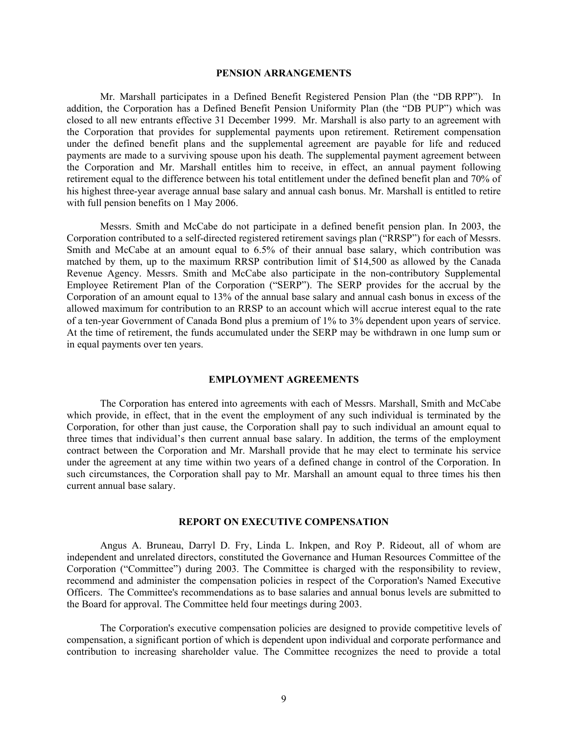#### **PENSION ARRANGEMENTS**

Mr. Marshall participates in a Defined Benefit Registered Pension Plan (the "DB RPP"). In addition, the Corporation has a Defined Benefit Pension Uniformity Plan (the "DB PUP") which was closed to all new entrants effective 31 December 1999. Mr. Marshall is also party to an agreement with the Corporation that provides for supplemental payments upon retirement. Retirement compensation under the defined benefit plans and the supplemental agreement are payable for life and reduced payments are made to a surviving spouse upon his death. The supplemental payment agreement between the Corporation and Mr. Marshall entitles him to receive, in effect, an annual payment following retirement equal to the difference between his total entitlement under the defined benefit plan and 70% of his highest three-year average annual base salary and annual cash bonus. Mr. Marshall is entitled to retire with full pension benefits on 1 May 2006.

 Messrs. Smith and McCabe do not participate in a defined benefit pension plan. In 2003, the Corporation contributed to a self-directed registered retirement savings plan ("RRSP") for each of Messrs. Smith and McCabe at an amount equal to 6.5% of their annual base salary, which contribution was matched by them, up to the maximum RRSP contribution limit of \$14,500 as allowed by the Canada Revenue Agency. Messrs. Smith and McCabe also participate in the non-contributory Supplemental Employee Retirement Plan of the Corporation ("SERP"). The SERP provides for the accrual by the Corporation of an amount equal to 13% of the annual base salary and annual cash bonus in excess of the allowed maximum for contribution to an RRSP to an account which will accrue interest equal to the rate of a ten-year Government of Canada Bond plus a premium of 1% to 3% dependent upon years of service. At the time of retirement, the funds accumulated under the SERP may be withdrawn in one lump sum or in equal payments over ten years.

#### **EMPLOYMENT AGREEMENTS**

 The Corporation has entered into agreements with each of Messrs. Marshall, Smith and McCabe which provide, in effect, that in the event the employment of any such individual is terminated by the Corporation, for other than just cause, the Corporation shall pay to such individual an amount equal to three times that individual's then current annual base salary. In addition, the terms of the employment contract between the Corporation and Mr. Marshall provide that he may elect to terminate his service under the agreement at any time within two years of a defined change in control of the Corporation. In such circumstances, the Corporation shall pay to Mr. Marshall an amount equal to three times his then current annual base salary.

#### **REPORT ON EXECUTIVE COMPENSATION**

 Angus A. Bruneau, Darryl D. Fry, Linda L. Inkpen, and Roy P. Rideout, all of whom are independent and unrelated directors, constituted the Governance and Human Resources Committee of the Corporation ("Committee") during 2003. The Committee is charged with the responsibility to review, recommend and administer the compensation policies in respect of the Corporation's Named Executive Officers. The Committee's recommendations as to base salaries and annual bonus levels are submitted to the Board for approval. The Committee held four meetings during 2003.

 The Corporation's executive compensation policies are designed to provide competitive levels of compensation, a significant portion of which is dependent upon individual and corporate performance and contribution to increasing shareholder value. The Committee recognizes the need to provide a total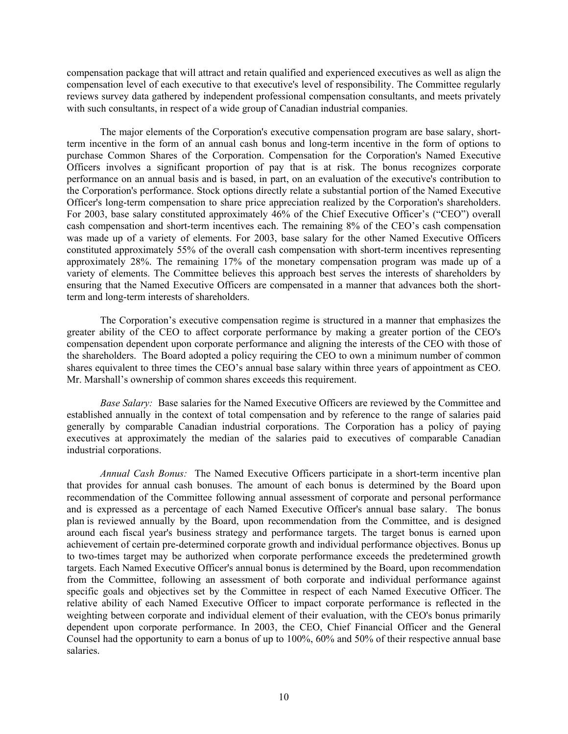compensation package that will attract and retain qualified and experienced executives as well as align the compensation level of each executive to that executive's level of responsibility. The Committee regularly reviews survey data gathered by independent professional compensation consultants, and meets privately with such consultants, in respect of a wide group of Canadian industrial companies.

The major elements of the Corporation's executive compensation program are base salary, shortterm incentive in the form of an annual cash bonus and long-term incentive in the form of options to purchase Common Shares of the Corporation. Compensation for the Corporation's Named Executive Officers involves a significant proportion of pay that is at risk. The bonus recognizes corporate performance on an annual basis and is based, in part, on an evaluation of the executive's contribution to the Corporation's performance. Stock options directly relate a substantial portion of the Named Executive Officer's long-term compensation to share price appreciation realized by the Corporation's shareholders. For 2003, base salary constituted approximately 46% of the Chief Executive Officer's ("CEO") overall cash compensation and short-term incentives each. The remaining 8% of the CEO's cash compensation was made up of a variety of elements. For 2003, base salary for the other Named Executive Officers constituted approximately 55% of the overall cash compensation with short-term incentives representing approximately 28%. The remaining 17% of the monetary compensation program was made up of a variety of elements. The Committee believes this approach best serves the interests of shareholders by ensuring that the Named Executive Officers are compensated in a manner that advances both the shortterm and long-term interests of shareholders.

The Corporation's executive compensation regime is structured in a manner that emphasizes the greater ability of the CEO to affect corporate performance by making a greater portion of the CEO's compensation dependent upon corporate performance and aligning the interests of the CEO with those of the shareholders. The Board adopted a policy requiring the CEO to own a minimum number of common shares equivalent to three times the CEO's annual base salary within three years of appointment as CEO. Mr. Marshall's ownership of common shares exceeds this requirement.

*Base Salary:* Base salaries for the Named Executive Officers are reviewed by the Committee and established annually in the context of total compensation and by reference to the range of salaries paid generally by comparable Canadian industrial corporations. The Corporation has a policy of paying executives at approximately the median of the salaries paid to executives of comparable Canadian industrial corporations.

*Annual Cash Bonus:* The Named Executive Officers participate in a short-term incentive plan that provides for annual cash bonuses. The amount of each bonus is determined by the Board upon recommendation of the Committee following annual assessment of corporate and personal performance and is expressed as a percentage of each Named Executive Officer's annual base salary. The bonus plan is reviewed annually by the Board, upon recommendation from the Committee, and is designed around each fiscal year's business strategy and performance targets. The target bonus is earned upon achievement of certain pre-determined corporate growth and individual performance objectives. Bonus up to two-times target may be authorized when corporate performance exceeds the predetermined growth targets. Each Named Executive Officer's annual bonus is determined by the Board, upon recommendation from the Committee, following an assessment of both corporate and individual performance against specific goals and objectives set by the Committee in respect of each Named Executive Officer. The relative ability of each Named Executive Officer to impact corporate performance is reflected in the weighting between corporate and individual element of their evaluation, with the CEO's bonus primarily dependent upon corporate performance. In 2003, the CEO, Chief Financial Officer and the General Counsel had the opportunity to earn a bonus of up to 100%, 60% and 50% of their respective annual base salaries.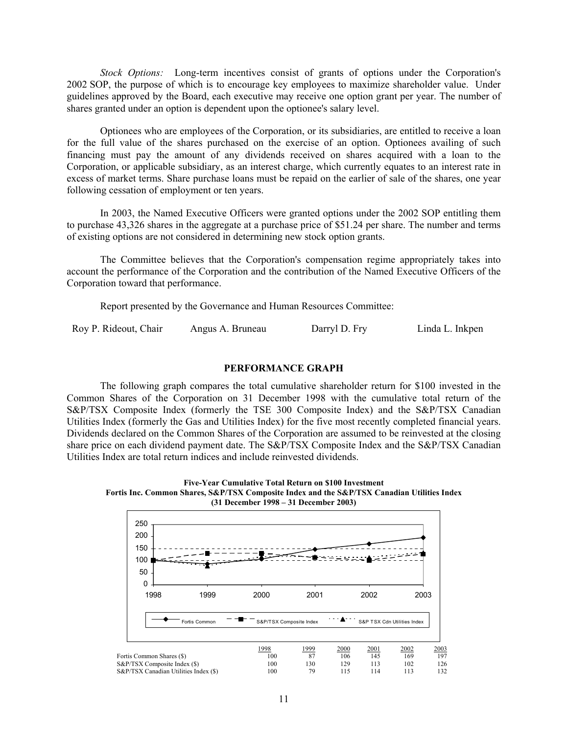*Stock Options:* Long-term incentives consist of grants of options under the Corporation's 2002 SOP, the purpose of which is to encourage key employees to maximize shareholder value. Under guidelines approved by the Board, each executive may receive one option grant per year. The number of shares granted under an option is dependent upon the optionee's salary level.

Optionees who are employees of the Corporation, or its subsidiaries, are entitled to receive a loan for the full value of the shares purchased on the exercise of an option. Optionees availing of such financing must pay the amount of any dividends received on shares acquired with a loan to the Corporation, or applicable subsidiary, as an interest charge, which currently equates to an interest rate in excess of market terms. Share purchase loans must be repaid on the earlier of sale of the shares, one year following cessation of employment or ten years.

In 2003, the Named Executive Officers were granted options under the 2002 SOP entitling them to purchase 43,326 shares in the aggregate at a purchase price of \$51.24 per share. The number and terms of existing options are not considered in determining new stock option grants.

 The Committee believes that the Corporation's compensation regime appropriately takes into account the performance of the Corporation and the contribution of the Named Executive Officers of the Corporation toward that performance.

Report presented by the Governance and Human Resources Committee:

| Roy P. Rideout, Chair | Angus A. Bruneau | Darryl D. Fry | Linda L. Inkpen |
|-----------------------|------------------|---------------|-----------------|
|-----------------------|------------------|---------------|-----------------|

#### **PERFORMANCE GRAPH**

 The following graph compares the total cumulative shareholder return for \$100 invested in the Common Shares of the Corporation on 31 December 1998 with the cumulative total return of the S&P/TSX Composite Index (formerly the TSE 300 Composite Index) and the S&P/TSX Canadian Utilities Index (formerly the Gas and Utilities Index) for the five most recently completed financial years. Dividends declared on the Common Shares of the Corporation are assumed to be reinvested at the closing share price on each dividend payment date. The S&P/TSX Composite Index and the S&P/TSX Canadian Utilities Index are total return indices and include reinvested dividends.



| 250                                                                   |               |                         |           |            |            |                             |
|-----------------------------------------------------------------------|---------------|-------------------------|-----------|------------|------------|-----------------------------|
| 200                                                                   |               |                         |           |            |            |                             |
| 150                                                                   |               |                         |           |            |            |                             |
| 100                                                                   |               |                         |           |            |            |                             |
| 50                                                                    |               |                         |           |            |            |                             |
| 0                                                                     |               |                         |           |            |            |                             |
| 1998                                                                  | 1999          | 2000                    | 2001      |            | 2002       | 2003                        |
|                                                                       |               |                         |           |            |            |                             |
|                                                                       | Fortis Common | S&P/TSX Composite Index |           |            |            | S&P TSX Cdn Utilities Index |
|                                                                       |               | 1998                    | 1999      | 2000       | 2001       | 2002                        |
| Fortis Common Shares (\$)                                             |               | 100                     | 87        | 106        | 145        | 169                         |
| S&P/TSX Composite Index (\$)<br>S&P/TSX Canadian Utilities Index (\$) |               | 100<br>100              | 130<br>79 | 129<br>115 | 113<br>114 | 102<br>113                  |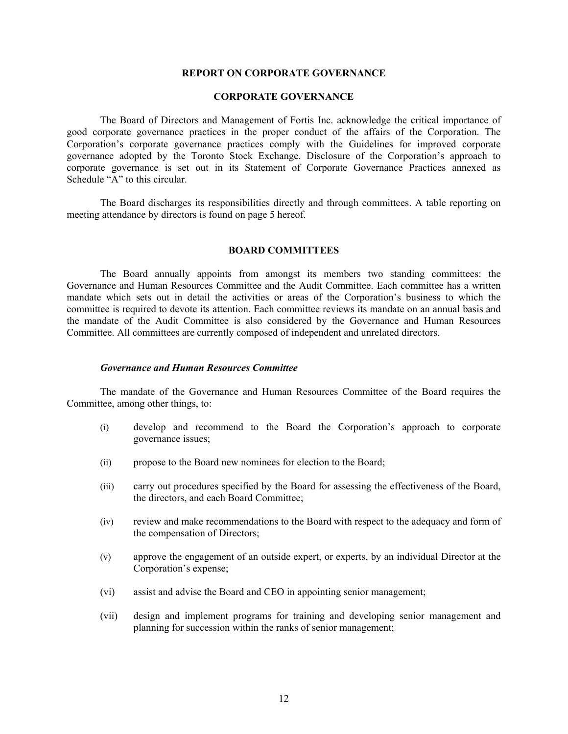#### **REPORT ON CORPORATE GOVERNANCE**

#### **CORPORATE GOVERNANCE**

The Board of Directors and Management of Fortis Inc. acknowledge the critical importance of good corporate governance practices in the proper conduct of the affairs of the Corporation. The Corporation's corporate governance practices comply with the Guidelines for improved corporate governance adopted by the Toronto Stock Exchange. Disclosure of the Corporation's approach to corporate governance is set out in its Statement of Corporate Governance Practices annexed as Schedule "A" to this circular.

The Board discharges its responsibilities directly and through committees. A table reporting on meeting attendance by directors is found on page 5 hereof.

#### **BOARD COMMITTEES**

 The Board annually appoints from amongst its members two standing committees: the Governance and Human Resources Committee and the Audit Committee. Each committee has a written mandate which sets out in detail the activities or areas of the Corporation's business to which the committee is required to devote its attention. Each committee reviews its mandate on an annual basis and the mandate of the Audit Committee is also considered by the Governance and Human Resources Committee. All committees are currently composed of independent and unrelated directors.

#### *Governance and Human Resources Committee*

The mandate of the Governance and Human Resources Committee of the Board requires the Committee, among other things, to:

- (i) develop and recommend to the Board the Corporation's approach to corporate governance issues;
- (ii) propose to the Board new nominees for election to the Board;
- (iii) carry out procedures specified by the Board for assessing the effectiveness of the Board, the directors, and each Board Committee;
- (iv) review and make recommendations to the Board with respect to the adequacy and form of the compensation of Directors;
- (v) approve the engagement of an outside expert, or experts, by an individual Director at the Corporation's expense;
- (vi) assist and advise the Board and CEO in appointing senior management;
- (vii) design and implement programs for training and developing senior management and planning for succession within the ranks of senior management;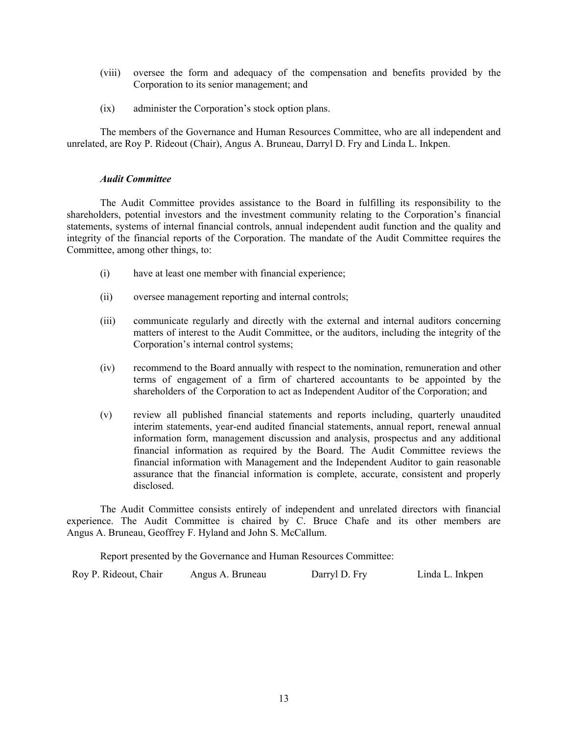- (viii) oversee the form and adequacy of the compensation and benefits provided by the Corporation to its senior management; and
- (ix) administer the Corporation's stock option plans.

The members of the Governance and Human Resources Committee, who are all independent and unrelated, are Roy P. Rideout (Chair), Angus A. Bruneau, Darryl D. Fry and Linda L. Inkpen.

#### *Audit Committee*

The Audit Committee provides assistance to the Board in fulfilling its responsibility to the shareholders, potential investors and the investment community relating to the Corporation's financial statements, systems of internal financial controls, annual independent audit function and the quality and integrity of the financial reports of the Corporation. The mandate of the Audit Committee requires the Committee, among other things, to:

- (i) have at least one member with financial experience;
- (ii) oversee management reporting and internal controls;
- (iii) communicate regularly and directly with the external and internal auditors concerning matters of interest to the Audit Committee, or the auditors, including the integrity of the Corporation's internal control systems;
- (iv) recommend to the Board annually with respect to the nomination, remuneration and other terms of engagement of a firm of chartered accountants to be appointed by the shareholders of the Corporation to act as Independent Auditor of the Corporation; and
- (v) review all published financial statements and reports including, quarterly unaudited interim statements, year-end audited financial statements, annual report, renewal annual information form, management discussion and analysis, prospectus and any additional financial information as required by the Board. The Audit Committee reviews the financial information with Management and the Independent Auditor to gain reasonable assurance that the financial information is complete, accurate, consistent and properly disclosed.

The Audit Committee consists entirely of independent and unrelated directors with financial experience. The Audit Committee is chaired by C. Bruce Chafe and its other members are Angus A. Bruneau, Geoffrey F. Hyland and John S. McCallum.

Report presented by the Governance and Human Resources Committee:

Roy P. Rideout, Chair Angus A. Bruneau Darryl D. Fry Linda L. Inkpen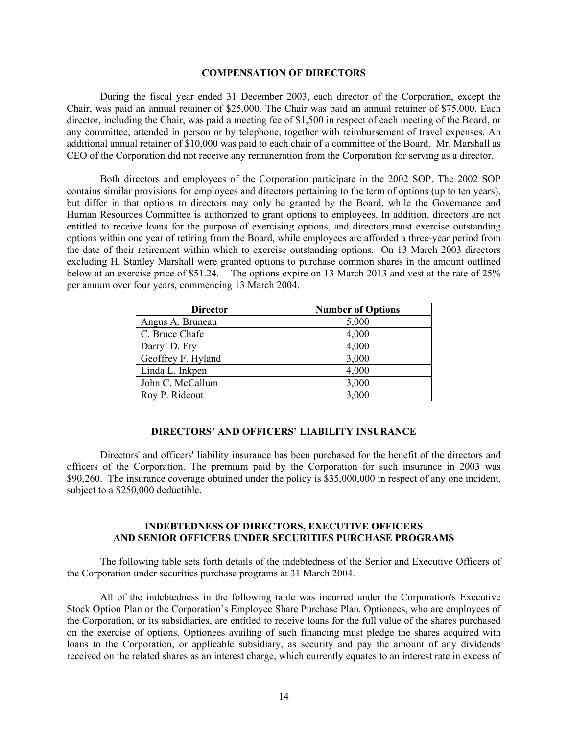#### **COMPENSATION OF DIRECTORS**

 During the fiscal year ended 31 December 2003, each director of the Corporation, except the Chair, was paid an annual retainer of \$25,000. The Chair was paid an annual retainer of \$75,000. Each director, including the Chair, was paid a meeting fee of \$1,500 in respect of each meeting of the Board, or any committee, attended in person or by telephone, together with reimbursement of travel expenses. An additional annual retainer of \$10,000 was paid to each chair of a committee of the Board. Mr. Marshall as CEO of the Corporation did not receive any remuneration from the Corporation for serving as a director.

Both directors and employees of the Corporation participate in the 2002 SOP. The 2002 SOP contains similar provisions for employees and directors pertaining to the term of options (up to ten years), but differ in that options to directors may only be granted by the Board, while the Governance and Human Resources Committee is authorized to grant options to employees. In addition, directors are not entitled to receive loans for the purpose of exercising options, and directors must exercise outstanding options within one year of retiring from the Board, while employees are afforded a three-year period from the date of their retirement within which to exercise outstanding options. On 13 March 2003 directors excluding H. Stanley Marshall were granted options to purchase common shares in the amount outlined below at an exercise price of \$51.24. The options expire on 13 March 2013 and vest at the rate of 25% per annum over four years, commencing 13 March 2004.

| <b>Director</b>    | <b>Number of Options</b> |
|--------------------|--------------------------|
| Angus A. Bruneau   | 5,000                    |
| C. Bruce Chafe     | 4,000                    |
| Darryl D. Fry      | 4,000                    |
| Geoffrey F. Hyland | 3,000                    |
| Linda L. Inkpen    | 4,000                    |
| John C. McCallum   | 3,000                    |
| Roy P. Rideout     | 3,000                    |

#### **DIRECTORS' AND OFFICERS' LIABILITY INSURANCE**

Directors' and officers' liability insurance has been purchased for the benefit of the directors and officers of the Corporation. The premium paid by the Corporation for such insurance in 2003 was \$90,260. The insurance coverage obtained under the policy is \$35,000,000 in respect of any one incident, subject to a \$250,000 deductible.

#### **INDEBTEDNESS OF DIRECTORS, EXECUTIVE OFFICERS AND SENIOR OFFICERS UNDER SECURITIES PURCHASE PROGRAMS**

 The following table sets forth details of the indebtedness of the Senior and Executive Officers of the Corporation under securities purchase programs at 31 March 2004.

All of the indebtedness in the following table was incurred under the Corporation's Executive Stock Option Plan or the Corporation's Employee Share Purchase Plan. Optionees, who are employees of the Corporation, or its subsidiaries, are entitled to receive loans for the full value of the shares purchased on the exercise of options. Optionees availing of such financing must pledge the shares acquired with loans to the Corporation, or applicable subsidiary, as security and pay the amount of any dividends received on the related shares as an interest charge, which currently equates to an interest rate in excess of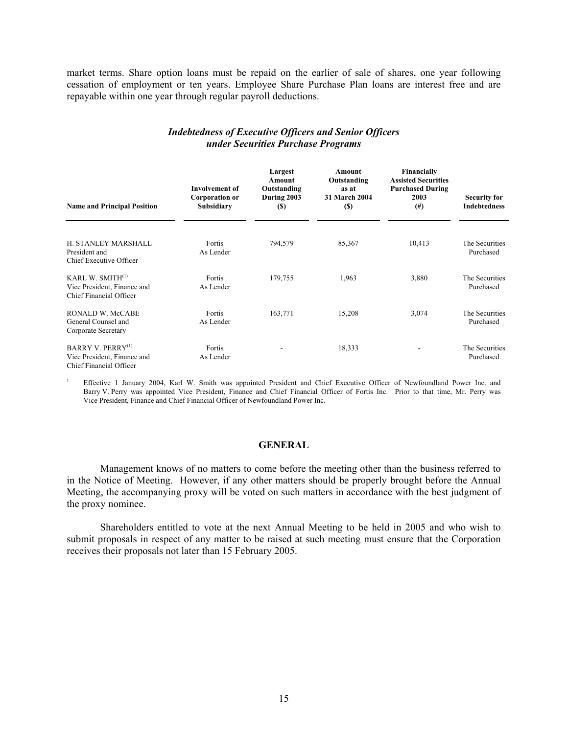market terms. Share option loans must be repaid on the earlier of sale of shares, one year following cessation of employment or ten years. Employee Share Purchase Plan loans are interest free and are repayable within one year through regular payroll deductions.

| <b>Name and Principal Position</b>                                                      | <b>Involvement</b> of<br><b>Corporation or</b><br>Subsidiary | Largest<br>Amount<br>Outstanding<br>During 2003<br><b>(\$)</b> | Amount<br>Outstanding<br>as at<br>31 March 2004<br>$(s)$ | <b>Financially</b><br><b>Assisted Securities</b><br><b>Purchased During</b><br>2003<br>(#) | <b>Security for</b><br><b>Indebtedness</b> |
|-----------------------------------------------------------------------------------------|--------------------------------------------------------------|----------------------------------------------------------------|----------------------------------------------------------|--------------------------------------------------------------------------------------------|--------------------------------------------|
| H. STANLEY MARSHALL<br>President and<br>Chief Executive Officer                         | Fortis<br>As Lender                                          | 794,579                                                        | 85,367                                                   | 10,413                                                                                     | The Securities<br>Purchased                |
| KARL W. SMITH <sup>(1)</sup><br>Vice President, Finance and<br>Chief Financial Officer  | Fortis<br>As Lender                                          | 179,755                                                        | 1,963                                                    | 3,880                                                                                      | The Securities<br>Purchased                |
| RONALD W. McCABE<br>General Counsel and<br>Corporate Secretary                          | Fortis<br>As Lender                                          | 163,771                                                        | 15,208                                                   | 3,074                                                                                      | The Securities<br>Purchased                |
| BARRY V. PERRY <sup>(1)</sup><br>Vice President, Finance and<br>Chief Financial Officer | Fortis<br>As Lender                                          |                                                                | 18,333                                                   |                                                                                            | The Securities<br>Purchased                |

# *Indebtedness of Executive Officers and Senior Officers under Securities Purchase Programs*

<sup>1.</sup> Effective 1 January 2004, Karl W. Smith was appointed President and Chief Executive Officer of Newfoundland Power Inc. and Barry V. Perry was appointed Vice President, Finance and Chief Financial Officer of Fortis Inc. Prior to that time, Mr. Perry was Vice President, Finance and Chief Financial Officer of Newfoundland Power Inc.

#### **GENERAL**

 Management knows of no matters to come before the meeting other than the business referred to in the Notice of Meeting. However, if any other matters should be properly brought before the Annual Meeting, the accompanying proxy will be voted on such matters in accordance with the best judgment of the proxy nominee.

Shareholders entitled to vote at the next Annual Meeting to be held in 2005 and who wish to submit proposals in respect of any matter to be raised at such meeting must ensure that the Corporation receives their proposals not later than 15 February 2005.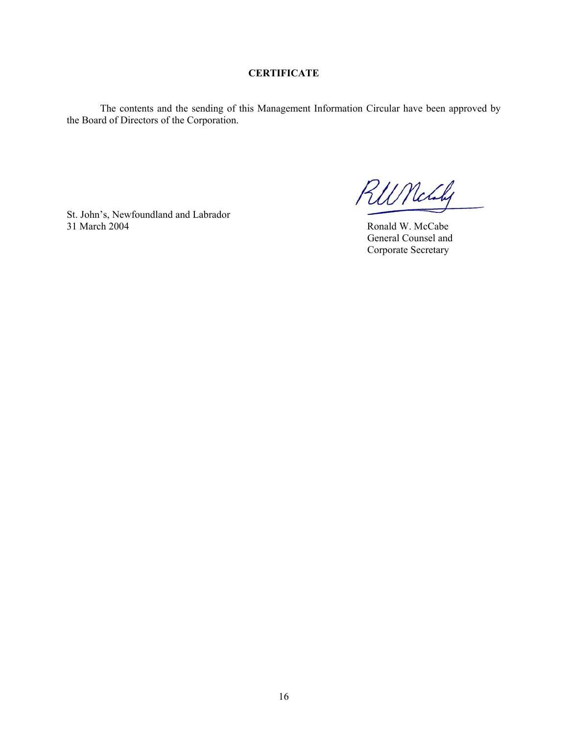# **CERTIFICATE**

The contents and the sending of this Management Information Circular have been approved by the Board of Directors of the Corporation.

St. John's, Newfoundland and Labrador 31 March 2004 Ronald W. McCabe

RUNchy

 General Counsel and Corporate Secretary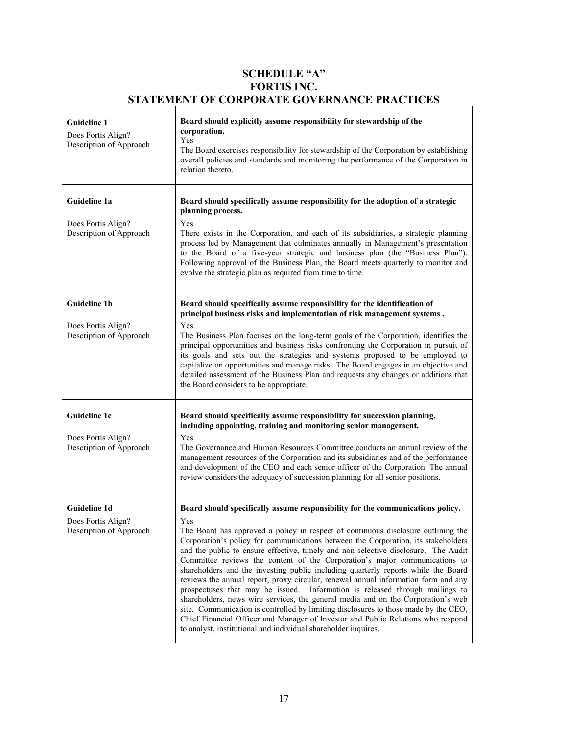# **SCHEDULE "A" FORTIS INC. STATEMENT OF CORPORATE GOVERNANCE PRACTICES**

 $\overline{\mathbf{1}}$ 

| <b>Guideline 1</b><br>Does Fortis Align?<br>Description of Approach  | Board should explicitly assume responsibility for stewardship of the<br>corporation.<br>Yes<br>The Board exercises responsibility for stewardship of the Corporation by establishing<br>overall policies and standards and monitoring the performance of the Corporation in<br>relation thereto.                                                                                                                                                                                                                                                                                                                                                                                                                                                                                                                                                                                                                                                                                                                                |
|----------------------------------------------------------------------|---------------------------------------------------------------------------------------------------------------------------------------------------------------------------------------------------------------------------------------------------------------------------------------------------------------------------------------------------------------------------------------------------------------------------------------------------------------------------------------------------------------------------------------------------------------------------------------------------------------------------------------------------------------------------------------------------------------------------------------------------------------------------------------------------------------------------------------------------------------------------------------------------------------------------------------------------------------------------------------------------------------------------------|
| Guideline 1a<br>Does Fortis Align?<br>Description of Approach        | Board should specifically assume responsibility for the adoption of a strategic<br>planning process.<br>Yes<br>There exists in the Corporation, and each of its subsidiaries, a strategic planning<br>process led by Management that culminates annually in Management's presentation<br>to the Board of a five-year strategic and business plan (the "Business Plan").<br>Following approval of the Business Plan, the Board meets quarterly to monitor and<br>evolve the strategic plan as required from time to time.                                                                                                                                                                                                                                                                                                                                                                                                                                                                                                        |
| <b>Guideline 1b</b><br>Does Fortis Align?<br>Description of Approach | Board should specifically assume responsibility for the identification of<br>principal business risks and implementation of risk management systems.<br>Yes<br>The Business Plan focuses on the long-term goals of the Corporation, identifies the<br>principal opportunities and business risks confronting the Corporation in pursuit of<br>its goals and sets out the strategies and systems proposed to be employed to<br>capitalize on opportunities and manage risks. The Board engages in an objective and<br>detailed assessment of the Business Plan and requests any changes or additions that<br>the Board considers to be appropriate.                                                                                                                                                                                                                                                                                                                                                                              |
| Guideline 1c<br>Does Fortis Align?<br>Description of Approach        | Board should specifically assume responsibility for succession planning,<br>including appointing, training and monitoring senior management.<br>Yes<br>The Governance and Human Resources Committee conducts an annual review of the<br>management resources of the Corporation and its subsidiaries and of the performance<br>and development of the CEO and each senior officer of the Corporation. The annual<br>review considers the adequacy of succession planning for all senior positions.                                                                                                                                                                                                                                                                                                                                                                                                                                                                                                                              |
| Guideline 1d<br>Does Fortis Align?<br>Description of Approach        | Board should specifically assume responsibility for the communications policy.<br>Yes<br>The Board has approved a policy in respect of continuous disclosure outlining the<br>Corporation's policy for communications between the Corporation, its stakeholders<br>and the public to ensure effective, timely and non-selective disclosure. The Audit<br>Committee reviews the content of the Corporation's major communications to<br>shareholders and the investing public including quarterly reports while the Board<br>reviews the annual report, proxy circular, renewal annual information form and any<br>prospectuses that may be issued. Information is released through mailings to<br>shareholders, news wire services, the general media and on the Corporation's web<br>site. Communication is controlled by limiting disclosures to those made by the CEO,<br>Chief Financial Officer and Manager of Investor and Public Relations who respond<br>to analyst, institutional and individual shareholder inquires. |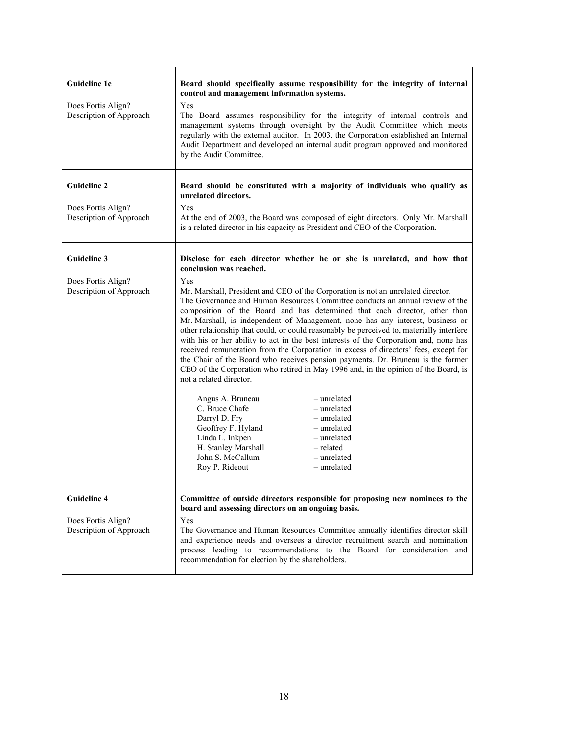| Guideline 1e<br>Does Fortis Align?<br>Description of Approach       | Board should specifically assume responsibility for the integrity of internal<br>control and management information systems.<br>Yes<br>The Board assumes responsibility for the integrity of internal controls and<br>management systems through oversight by the Audit Committee which meets<br>regularly with the external auditor. In 2003, the Corporation established an Internal<br>Audit Department and developed an internal audit program approved and monitored<br>by the Audit Committee.                                                                                                                                                                                                                                                                                                                                                                                                                                                                                                                                                                                                                                                                                                               |
|---------------------------------------------------------------------|--------------------------------------------------------------------------------------------------------------------------------------------------------------------------------------------------------------------------------------------------------------------------------------------------------------------------------------------------------------------------------------------------------------------------------------------------------------------------------------------------------------------------------------------------------------------------------------------------------------------------------------------------------------------------------------------------------------------------------------------------------------------------------------------------------------------------------------------------------------------------------------------------------------------------------------------------------------------------------------------------------------------------------------------------------------------------------------------------------------------------------------------------------------------------------------------------------------------|
| <b>Guideline 2</b><br>Does Fortis Align?<br>Description of Approach | Board should be constituted with a majority of individuals who qualify as<br>unrelated directors.<br>Yes<br>At the end of 2003, the Board was composed of eight directors. Only Mr. Marshall<br>is a related director in his capacity as President and CEO of the Corporation.                                                                                                                                                                                                                                                                                                                                                                                                                                                                                                                                                                                                                                                                                                                                                                                                                                                                                                                                     |
| <b>Guideline 3</b><br>Does Fortis Align?<br>Description of Approach | Disclose for each director whether he or she is unrelated, and how that<br>conclusion was reached.<br>Yes<br>Mr. Marshall, President and CEO of the Corporation is not an unrelated director.<br>The Governance and Human Resources Committee conducts an annual review of the<br>composition of the Board and has determined that each director, other than<br>Mr. Marshall, is independent of Management, none has any interest, business or<br>other relationship that could, or could reasonably be perceived to, materially interfere<br>with his or her ability to act in the best interests of the Corporation and, none has<br>received remuneration from the Corporation in excess of directors' fees, except for<br>the Chair of the Board who receives pension payments. Dr. Bruneau is the former<br>CEO of the Corporation who retired in May 1996 and, in the opinion of the Board, is<br>not a related director.<br>Angus A. Bruneau<br>- unrelated<br>C. Bruce Chafe<br>- unrelated<br>Darryl D. Fry<br>- unrelated<br>Geoffrey F. Hyland<br>- unrelated<br>Linda L. Inkpen<br>- unrelated<br>H. Stanley Marshall<br>- related<br>John S. McCallum<br>- unrelated<br>Roy P. Rideout<br>- unrelated |
| <b>Guideline 4</b><br>Does Fortis Align?<br>Description of Approach | Committee of outside directors responsible for proposing new nominees to the<br>board and assessing directors on an ongoing basis.<br>Yes<br>The Governance and Human Resources Committee annually identifies director skill<br>and experience needs and oversees a director recruitment search and nomination<br>process leading to recommendations to the Board for consideration and<br>recommendation for election by the shareholders.                                                                                                                                                                                                                                                                                                                                                                                                                                                                                                                                                                                                                                                                                                                                                                        |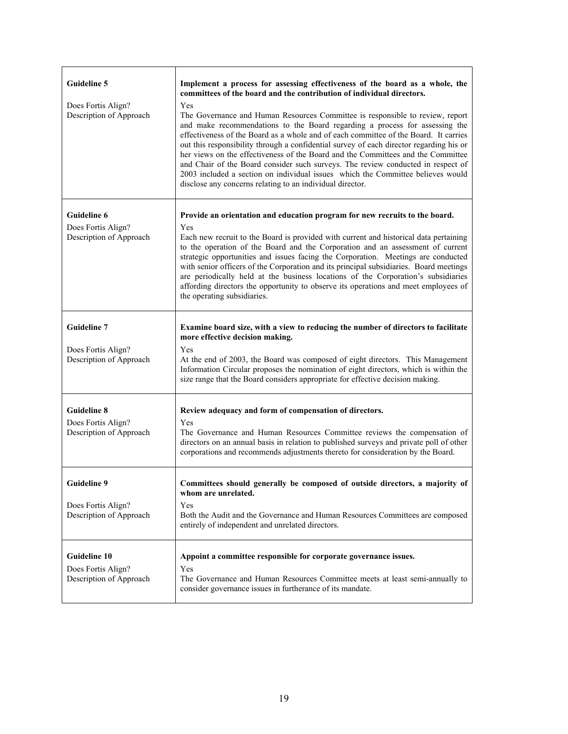| <b>Guideline 5</b><br>Does Fortis Align?<br>Description of Approach  | Implement a process for assessing effectiveness of the board as a whole, the<br>committees of the board and the contribution of individual directors.<br>Yes<br>The Governance and Human Resources Committee is responsible to review, report<br>and make recommendations to the Board regarding a process for assessing the<br>effectiveness of the Board as a whole and of each committee of the Board. It carries<br>out this responsibility through a confidential survey of each director regarding his or<br>her views on the effectiveness of the Board and the Committees and the Committee<br>and Chair of the Board consider such surveys. The review conducted in respect of<br>2003 included a section on individual issues which the Committee believes would<br>disclose any concerns relating to an individual director. |
|----------------------------------------------------------------------|-----------------------------------------------------------------------------------------------------------------------------------------------------------------------------------------------------------------------------------------------------------------------------------------------------------------------------------------------------------------------------------------------------------------------------------------------------------------------------------------------------------------------------------------------------------------------------------------------------------------------------------------------------------------------------------------------------------------------------------------------------------------------------------------------------------------------------------------|
| <b>Guideline 6</b><br>Does Fortis Align?<br>Description of Approach  | Provide an orientation and education program for new recruits to the board.<br>Yes<br>Each new recruit to the Board is provided with current and historical data pertaining<br>to the operation of the Board and the Corporation and an assessment of current<br>strategic opportunities and issues facing the Corporation. Meetings are conducted<br>with senior officers of the Corporation and its principal subsidiaries. Board meetings<br>are periodically held at the business locations of the Corporation's subsidiaries<br>affording directors the opportunity to observe its operations and meet employees of<br>the operating subsidiaries.                                                                                                                                                                                 |
| <b>Guideline 7</b><br>Does Fortis Align?<br>Description of Approach  | Examine board size, with a view to reducing the number of directors to facilitate<br>more effective decision making.<br>Yes<br>At the end of 2003, the Board was composed of eight directors. This Management<br>Information Circular proposes the nomination of eight directors, which is within the<br>size range that the Board considers appropriate for effective decision making.                                                                                                                                                                                                                                                                                                                                                                                                                                                 |
| <b>Guideline 8</b><br>Does Fortis Align?<br>Description of Approach  | Review adequacy and form of compensation of directors.<br>Yes<br>The Governance and Human Resources Committee reviews the compensation of<br>directors on an annual basis in relation to published surveys and private poll of other<br>corporations and recommends adjustments thereto for consideration by the Board.                                                                                                                                                                                                                                                                                                                                                                                                                                                                                                                 |
| <b>Guideline 9</b><br>Does Fortis Align?<br>Description of Approach  | Committees should generally be composed of outside directors, a majority of<br>whom are unrelated.<br>Yes<br>Both the Audit and the Governance and Human Resources Committees are composed<br>entirely of independent and unrelated directors.                                                                                                                                                                                                                                                                                                                                                                                                                                                                                                                                                                                          |
| <b>Guideline 10</b><br>Does Fortis Align?<br>Description of Approach | Appoint a committee responsible for corporate governance issues.<br>Yes<br>The Governance and Human Resources Committee meets at least semi-annually to<br>consider governance issues in furtherance of its mandate.                                                                                                                                                                                                                                                                                                                                                                                                                                                                                                                                                                                                                    |